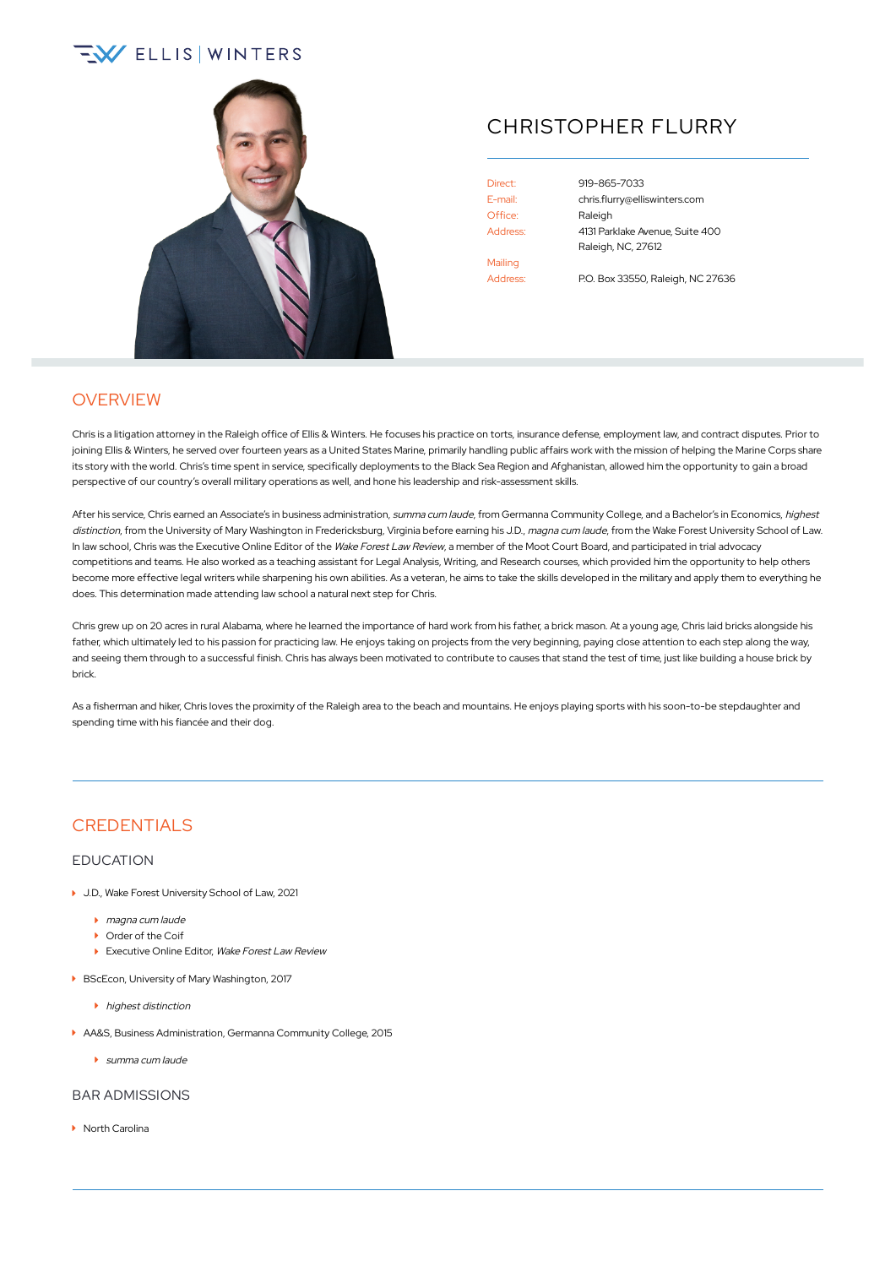# $\sqrt{2}$  ELLIS WINTERS



## CHRISTOPHER FLURRY

Office: Raleigh Mailing Address: P.O. Box 33550, Raleigh, NC 27636

Direct: [919-865-7033](tel:+1-919-865-7033) E-mail: [chris.flurry@elliswinters.com](mailto:chris.flurry@elliswinters.com) Address: 4131 Parklake Avenue, Suite 400 Raleigh, NC, 27612

## **OVERVIEW**

Chris is a litigation attorney in the Raleigh office of Ellis & Winters. He focuses his practice on torts, insurance defense, employment law, and contract disputes. Prior to joining Ellis & Winters, he served over fourteen years as a United States Marine, primarily handling public affairs work with the mission of helping the Marine Corps share its story with the world. Chris's time spent in service, specifically deployments to the Black Sea Region and Afghanistan, allowed him the opportunity to gain a broad perspective of our country's overall military operations as well, and hone his leadership and risk-assessment skills.

After his service, Chris earned an Associate's in business administration, summa cum laude, from Germanna Community College, and a Bachelor's in Economics, highest distinction, from the University of Mary Washington in Fredericksburg, Virginia before earning his J.D., magna cum laude, from the Wake Forest University School of Law. In law school, Chris was the Executive Online Editor of the Wake Forest Law Review, a member of the Moot Court Board, and participated in trial advocacy competitions and teams. He also worked as a teaching assistant for Legal Analysis, Writing, and Research courses, which provided him the opportunity to help others become more effective legal writers while sharpening his own abilities. As a veteran, he aims to take the skills developed in the military and apply them to everything he does. This determination made attending law school a natural next step for Chris.

Chris grew up on 20 acres in rural Alabama, where he learned the importance of hard work from his father, a brick mason. At a young age, Chris laid bricks alongside his father, which ultimately led to his passion for practicing law. He enjoys taking on projects from the very beginning, paying close attention to each step along the way, and seeing them through to a successful finish. Chris has always been motivated to contribute to causes that stand the test of time, just like building a house brick by brick.

As a fisherman and hiker, Chris loves the proximity of the Raleigh area to the beach and mountains. He enjoys playing sports with his soon-to-be stepdaughter and spending time with his fiancée and their dog.

## CREDENTIALS

#### EDUCATION

- ▶ J.D., Wake Forest University School of Law, 2021
	- magna cum laude
	- **Comment** Order of the Coif
	- Executive Online Editor, Wake Forest Law Review
- ▶ BScEcon, University of Mary Washington, 2017
	- $\blacktriangleright$  highest distinction
- AA&S, Business Administration, Germanna Community College, 2015
	- summa cum laude

#### BAR ADMISSIONS

▶ North Carolina